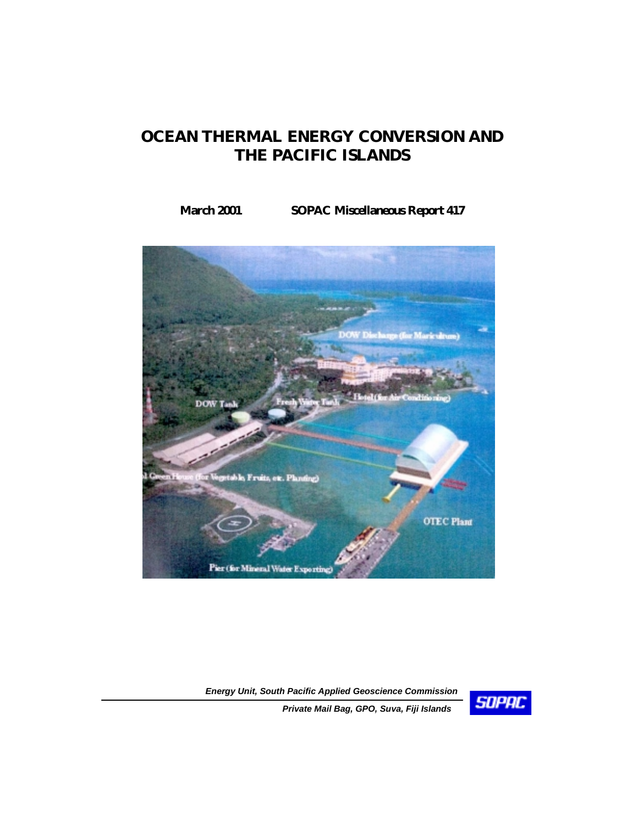# **OCEAN THERMAL ENERGY CONVERSION AND THE PACIFIC ISLANDS**

# **March 2001 SOPAC Miscellaneous Report 417**



*Energy Unit, South Pacific Applied Geoscience Commission* 



*Private Mail Bag, GPO, Suva, Fiji Islands*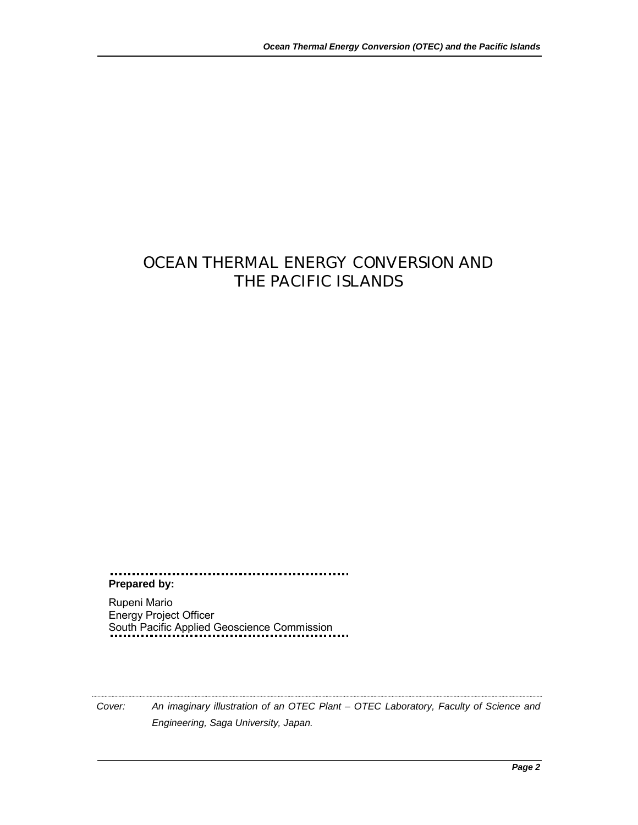# OCEAN THERMAL ENERGY CONVERSION AND THE PACIFIC ISLANDS

**Prepared by:** 

Rupeni Mario Energy Project Officer South Pacific Applied Geoscience Commission

*Cover: An imaginary illustration of an OTEC Plant – OTEC Laboratory, Faculty of Science and Engineering, Saga University, Japan.*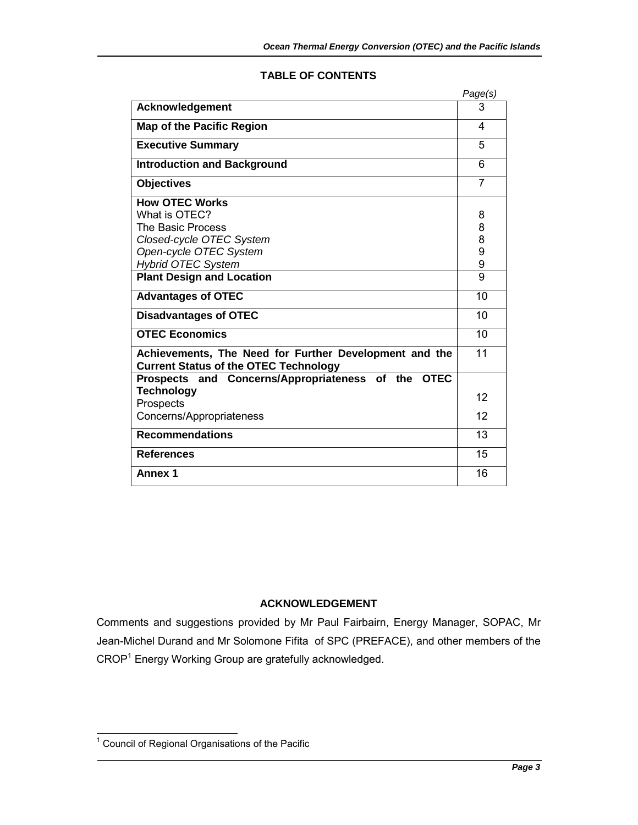|                                                                                                        | Page(s)        |
|--------------------------------------------------------------------------------------------------------|----------------|
| <b>Acknowledgement</b>                                                                                 | 3              |
| <b>Map of the Pacific Region</b>                                                                       | 4              |
| <b>Executive Summary</b>                                                                               | 5              |
| <b>Introduction and Background</b>                                                                     | 6              |
| <b>Objectives</b>                                                                                      | $\overline{7}$ |
| <b>How OTEC Works</b>                                                                                  |                |
| What is OTEC?                                                                                          | 8              |
| The Basic Process                                                                                      | 8              |
| Closed-cycle OTEC System                                                                               | 8              |
| Open-cycle OTEC System                                                                                 | 9              |
| <b>Hybrid OTEC System</b>                                                                              | 9              |
| <b>Plant Design and Location</b>                                                                       | 9              |
| <b>Advantages of OTEC</b>                                                                              | 10             |
| <b>Disadvantages of OTEC</b>                                                                           | 10             |
| <b>OTEC Economics</b>                                                                                  | 10             |
| Achievements, The Need for Further Development and the<br><b>Current Status of the OTEC Technology</b> | 11             |
| Prospects and Concerns/Appropriateness of the OTEC                                                     |                |
| <b>Technology</b>                                                                                      | 12             |
| Prospects                                                                                              |                |
| Concerns/Appropriateness                                                                               | 12             |
| <b>Recommendations</b>                                                                                 | 13             |
| <b>References</b>                                                                                      | 15             |
| <b>Annex 1</b>                                                                                         | 16             |

## **TABLE OF CONTENTS**

# **ACKNOWLEDGEMENT**

Comments and suggestions provided by Mr Paul Fairbairn, Energy Manager, SOPAC, Mr Jean-Michel Durand and Mr Solomone Fifita of SPC (PREFACE), and other members of the CROP<sup>1</sup> Energy Working Group are gratefully acknowledged.

 1 Council of Regional Organisations of the Pacific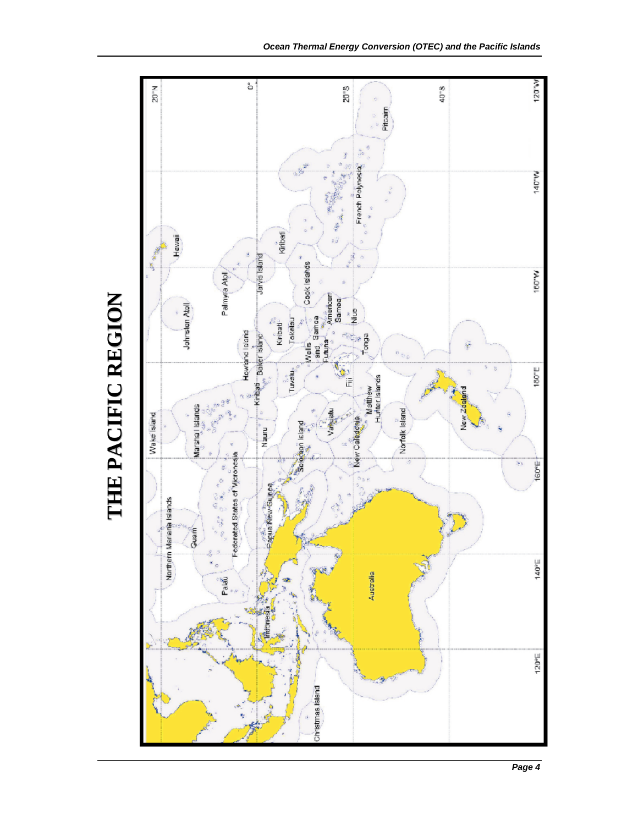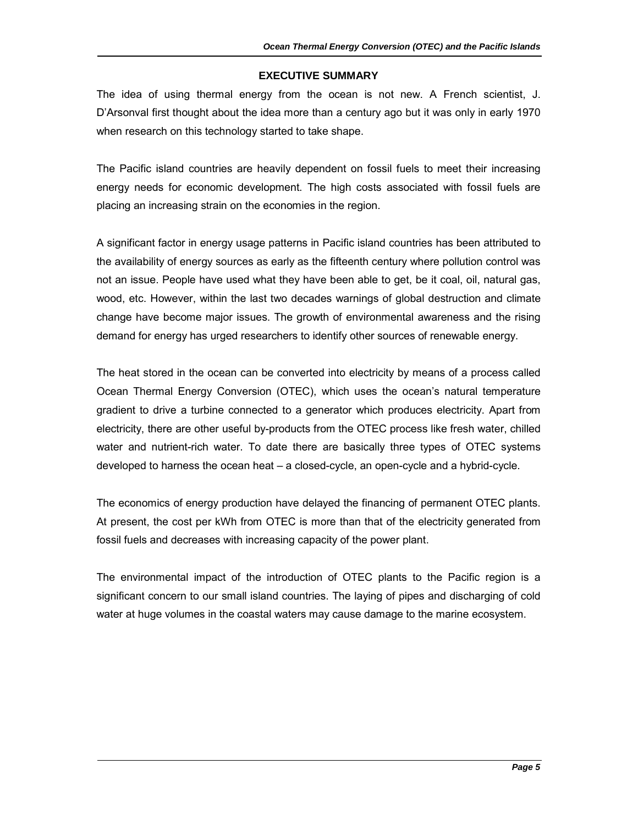#### **EXECUTIVE SUMMARY**

The idea of using thermal energy from the ocean is not new. A French scientist, J. D'Arsonval first thought about the idea more than a century ago but it was only in early 1970 when research on this technology started to take shape.

The Pacific island countries are heavily dependent on fossil fuels to meet their increasing energy needs for economic development. The high costs associated with fossil fuels are placing an increasing strain on the economies in the region.

A significant factor in energy usage patterns in Pacific island countries has been attributed to the availability of energy sources as early as the fifteenth century where pollution control was not an issue. People have used what they have been able to get, be it coal, oil, natural gas, wood, etc. However, within the last two decades warnings of global destruction and climate change have become major issues. The growth of environmental awareness and the rising demand for energy has urged researchers to identify other sources of renewable energy.

The heat stored in the ocean can be converted into electricity by means of a process called Ocean Thermal Energy Conversion (OTEC), which uses the ocean's natural temperature gradient to drive a turbine connected to a generator which produces electricity. Apart from electricity, there are other useful by-products from the OTEC process like fresh water, chilled water and nutrient-rich water. To date there are basically three types of OTEC systems developed to harness the ocean heat – a closed-cycle, an open-cycle and a hybrid-cycle.

The economics of energy production have delayed the financing of permanent OTEC plants. At present, the cost per kWh from OTEC is more than that of the electricity generated from fossil fuels and decreases with increasing capacity of the power plant.

The environmental impact of the introduction of OTEC plants to the Pacific region is a significant concern to our small island countries. The laying of pipes and discharging of cold water at huge volumes in the coastal waters may cause damage to the marine ecosystem.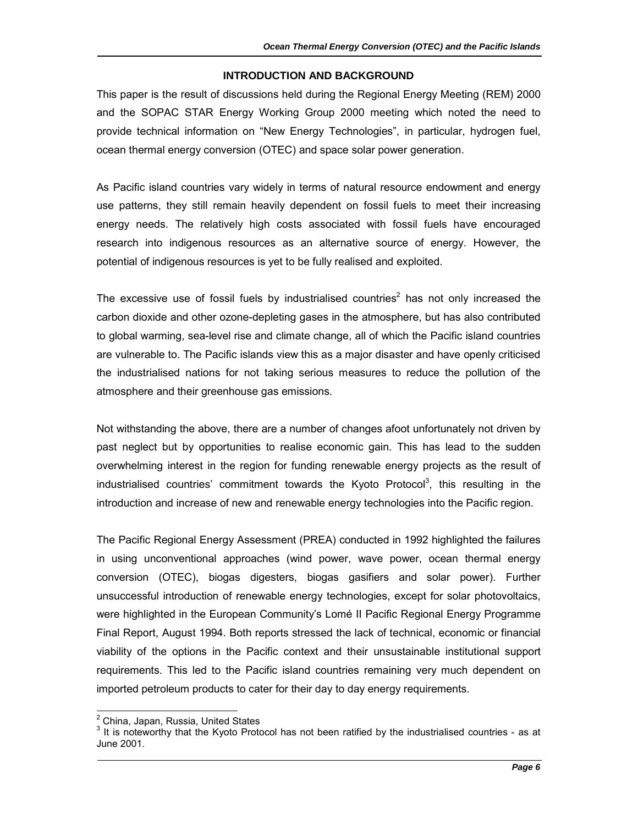#### **INTRODUCTION AND BACKGROUND**

This paper is the result of discussions held during the Regional Energy Meeting (REM) 2000 and the SOPAC STAR Energy Working Group 2000 meeting which noted the need to provide technical information on "New Energy Technologies", in particular, hydrogen fuel, ocean thermal energy conversion (OTEC) and space solar power generation.

As Pacific island countries vary widely in terms of natural resource endowment and energy use patterns, they still remain heavily dependent on fossil fuels to meet their increasing energy needs. The relatively high costs associated with fossil fuels have encouraged research into indigenous resources as an alternative source of energy. However, the potential of indigenous resources is yet to be fully realised and exploited.

The excessive use of fossil fuels by industrialised countries<sup>2</sup> has not only increased the carbon dioxide and other ozone-depleting gases in the atmosphere, but has also contributed to global warming, sea-level rise and climate change, all of which the Pacific island countries are vulnerable to. The Pacific islands view this as a major disaster and have openly criticised the industrialised nations for not taking serious measures to reduce the pollution of the atmosphere and their greenhouse gas emissions.

Not withstanding the above, there are a number of changes afoot unfortunately not driven by past neglect but by opportunities to realise economic gain. This has lead to the sudden overwhelming interest in the region for funding renewable energy projects as the result of industrialised countries' commitment towards the Kyoto Protocol<sup>3</sup>, this resulting in the introduction and increase of new and renewable energy technologies into the Pacific region.

The Pacific Regional Energy Assessment (PREA) conducted in 1992 highlighted the failures in using unconventional approaches (wind power, wave power, ocean thermal energy conversion (OTEC), biogas digesters, biogas gasifiers and solar power). Further unsuccessful introduction of renewable energy technologies, except for solar photovoltaics, were highlighted in the European Community's Lomé II Pacific Regional Energy Programme Final Report, August 1994. Both reports stressed the lack of technical, economic or financial viability of the options in the Pacific context and their unsustainable institutional support requirements. This led to the Pacific island countries remaining very much dependent on imported petroleum products to cater for their day to day energy requirements.

 2 China, Japan, Russia, United States

 $3$  It is noteworthy that the Kyoto Protocol has not been ratified by the industrialised countries - as at June 2001.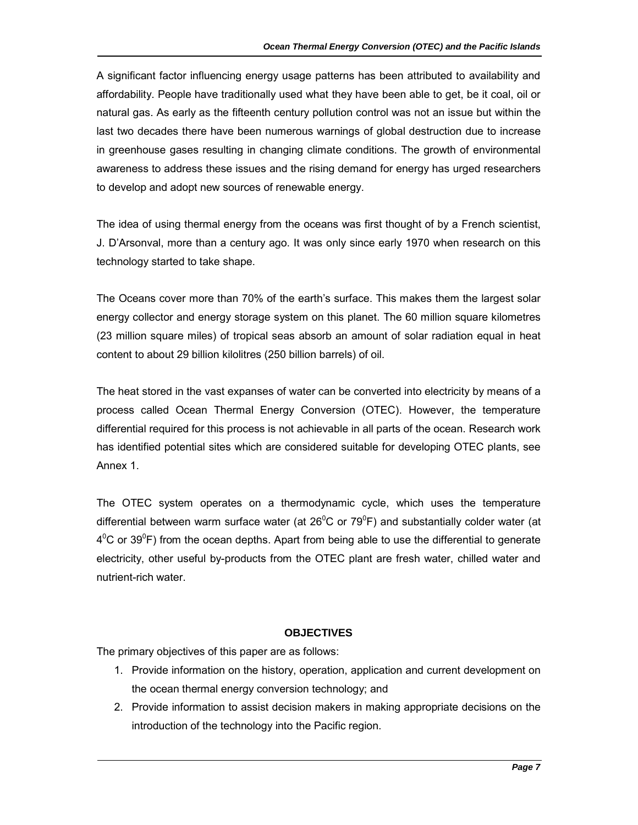A significant factor influencing energy usage patterns has been attributed to availability and affordability. People have traditionally used what they have been able to get, be it coal, oil or natural gas. As early as the fifteenth century pollution control was not an issue but within the last two decades there have been numerous warnings of global destruction due to increase in greenhouse gases resulting in changing climate conditions. The growth of environmental awareness to address these issues and the rising demand for energy has urged researchers to develop and adopt new sources of renewable energy.

The idea of using thermal energy from the oceans was first thought of by a French scientist, J. D'Arsonval, more than a century ago. It was only since early 1970 when research on this technology started to take shape.

The Oceans cover more than 70% of the earth's surface. This makes them the largest solar energy collector and energy storage system on this planet. The 60 million square kilometres (23 million square miles) of tropical seas absorb an amount of solar radiation equal in heat content to about 29 billion kilolitres (250 billion barrels) of oil.

The heat stored in the vast expanses of water can be converted into electricity by means of a process called Ocean Thermal Energy Conversion (OTEC). However, the temperature differential required for this process is not achievable in all parts of the ocean. Research work has identified potential sites which are considered suitable for developing OTEC plants, see Annex 1.

The OTEC system operates on a thermodynamic cycle, which uses the temperature differential between warm surface water (at 26<sup>°</sup>C or 79<sup>°</sup>F) and substantially colder water (at  $4^{\circ}$ C or 39 $^{\circ}$ F) from the ocean depths. Apart from being able to use the differential to generate electricity, other useful by-products from the OTEC plant are fresh water, chilled water and nutrient-rich water.

# **OBJECTIVES**

The primary objectives of this paper are as follows:

- 1. Provide information on the history, operation, application and current development on the ocean thermal energy conversion technology; and
- 2. Provide information to assist decision makers in making appropriate decisions on the introduction of the technology into the Pacific region.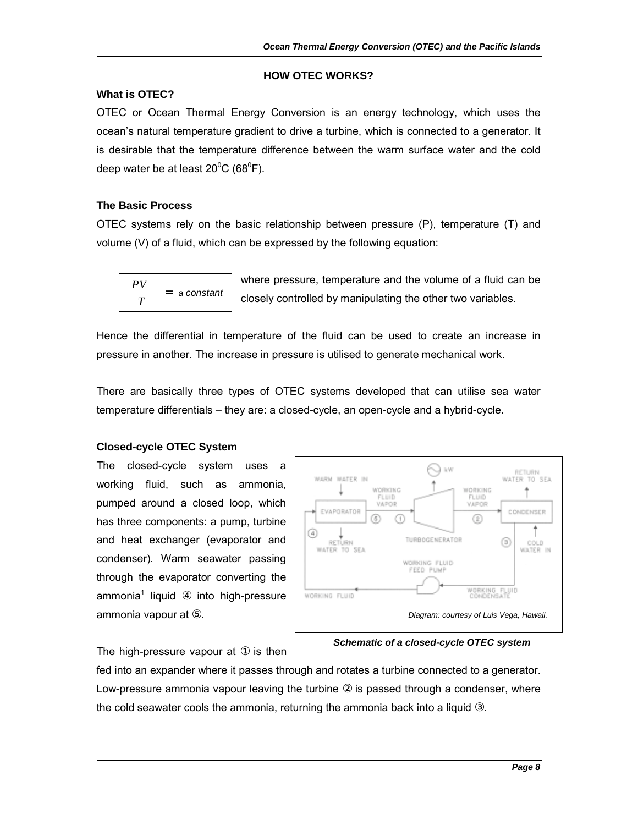#### **HOW OTEC WORKS?**

#### **What is OTEC?**

OTEC or Ocean Thermal Energy Conversion is an energy technology, which uses the ocean's natural temperature gradient to drive a turbine, which is connected to a generator. It is desirable that the temperature difference between the warm surface water and the cold deep water be at least 20 $^0$ C (68 $^0$ F).

#### **The Basic Process**

OTEC systems rely on the basic relationship between pressure (P), temperature (T) and volume (V) of a fluid, which can be expressed by the following equation:

$$
\frac{PV}{T} = \text{ a constant}
$$

where pressure, temperature and the volume of a fluid can be closely controlled by manipulating the other two variables.

Hence the differential in temperature of the fluid can be used to create an increase in pressure in another. The increase in pressure is utilised to generate mechanical work.

There are basically three types of OTEC systems developed that can utilise sea water temperature differentials – they are: a closed-cycle, an open-cycle and a hybrid-cycle.

#### **Closed-cycle OTEC System**

The closed-cycle system uses a working fluid, such as ammonia, pumped around a closed loop, which has three components: a pump, turbine and heat exchanger (evaporator and condenser). Warm seawater passing through the evaporator converting the ammonia<sup>1</sup> liquid 4 into high-pressure ammonia vapour at ⑤.



*Schematic of a closed-cycle OTEC system* 

The high-pressure vapour at  $\Phi$  is then

fed into an expander where it passes through and rotates a turbine connected to a generator. Low-pressure ammonia vapour leaving the turbine ② is passed through a condenser, where the cold seawater cools the ammonia, returning the ammonia back into a liquid ③.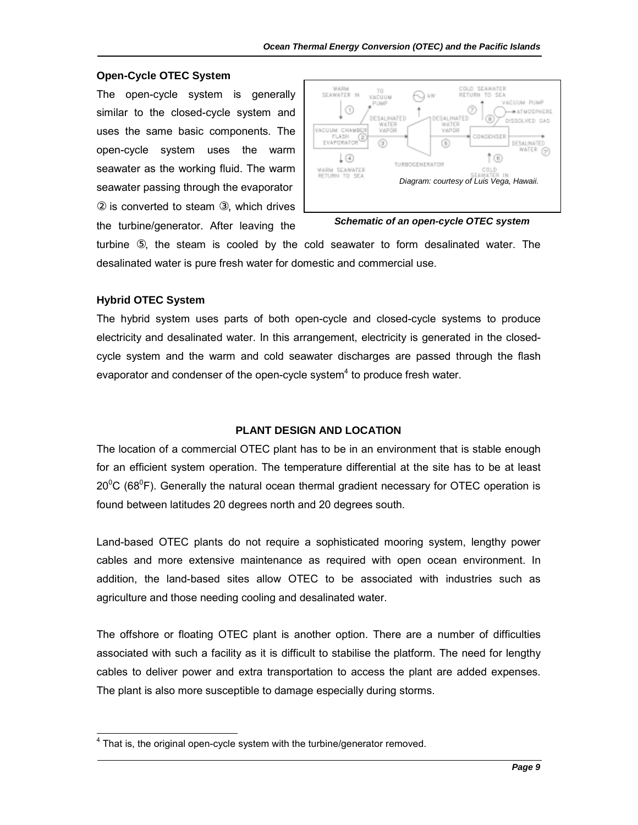#### **Open-Cycle OTEC System**

The open-cycle system is generally similar to the closed-cycle system and uses the same basic components. The open-cycle system uses the warm seawater as the working fluid. The warm seawater passing through the evaporator ② is converted to steam ③, which drives the turbine/generator. After leaving the



*Schematic of an open-cycle OTEC system* 

turbine ⑤, the steam is cooled by the cold seawater to form desalinated water. The desalinated water is pure fresh water for domestic and commercial use.

#### **Hybrid OTEC System**

l

The hybrid system uses parts of both open-cycle and closed-cycle systems to produce electricity and desalinated water. In this arrangement, electricity is generated in the closedcycle system and the warm and cold seawater discharges are passed through the flash evaporator and condenser of the open-cycle system $<sup>4</sup>$  to produce fresh water.</sup>

#### **PLANT DESIGN AND LOCATION**

The location of a commercial OTEC plant has to be in an environment that is stable enough for an efficient system operation. The temperature differential at the site has to be at least  $20^{\circ}$ C (68 $^{\circ}$ F). Generally the natural ocean thermal gradient necessary for OTEC operation is found between latitudes 20 degrees north and 20 degrees south.

Land-based OTEC plants do not require a sophisticated mooring system, lengthy power cables and more extensive maintenance as required with open ocean environment. In addition, the land-based sites allow OTEC to be associated with industries such as agriculture and those needing cooling and desalinated water.

The offshore or floating OTEC plant is another option. There are a number of difficulties associated with such a facility as it is difficult to stabilise the platform. The need for lengthy cables to deliver power and extra transportation to access the plant are added expenses. The plant is also more susceptible to damage especially during storms.

 $4$  That is, the original open-cycle system with the turbine/generator removed.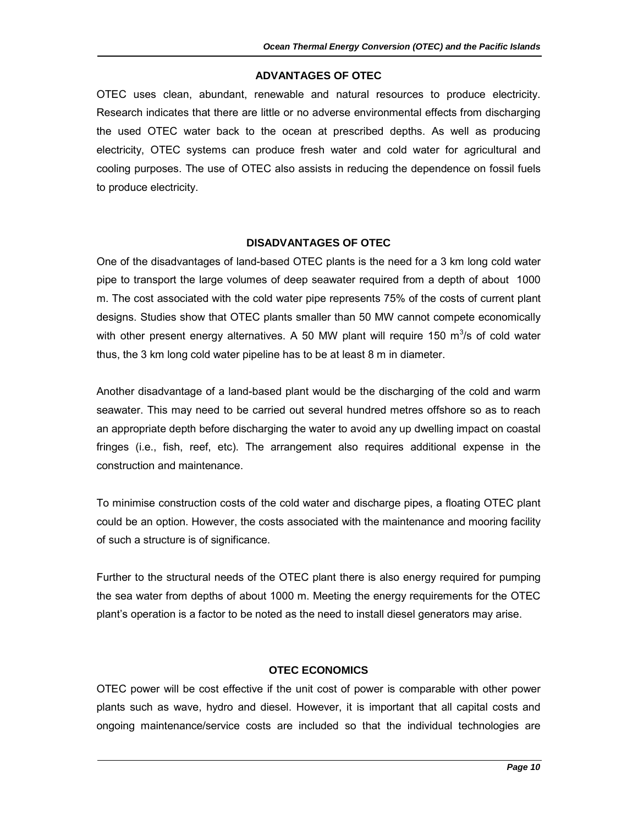#### **ADVANTAGES OF OTEC**

OTEC uses clean, abundant, renewable and natural resources to produce electricity. Research indicates that there are little or no adverse environmental effects from discharging the used OTEC water back to the ocean at prescribed depths. As well as producing electricity, OTEC systems can produce fresh water and cold water for agricultural and cooling purposes. The use of OTEC also assists in reducing the dependence on fossil fuels to produce electricity.

#### **DISADVANTAGES OF OTEC**

One of the disadvantages of land-based OTEC plants is the need for a 3 km long cold water pipe to transport the large volumes of deep seawater required from a depth of about 1000 m. The cost associated with the cold water pipe represents 75% of the costs of current plant designs. Studies show that OTEC plants smaller than 50 MW cannot compete economically with other present energy alternatives. A 50 MW plant will require 150  $m^3/s$  of cold water thus, the 3 km long cold water pipeline has to be at least 8 m in diameter.

Another disadvantage of a land-based plant would be the discharging of the cold and warm seawater. This may need to be carried out several hundred metres offshore so as to reach an appropriate depth before discharging the water to avoid any up dwelling impact on coastal fringes (i.e., fish, reef, etc). The arrangement also requires additional expense in the construction and maintenance.

To minimise construction costs of the cold water and discharge pipes, a floating OTEC plant could be an option. However, the costs associated with the maintenance and mooring facility of such a structure is of significance.

Further to the structural needs of the OTEC plant there is also energy required for pumping the sea water from depths of about 1000 m. Meeting the energy requirements for the OTEC plant's operation is a factor to be noted as the need to install diesel generators may arise.

## **OTEC ECONOMICS**

OTEC power will be cost effective if the unit cost of power is comparable with other power plants such as wave, hydro and diesel. However, it is important that all capital costs and ongoing maintenance/service costs are included so that the individual technologies are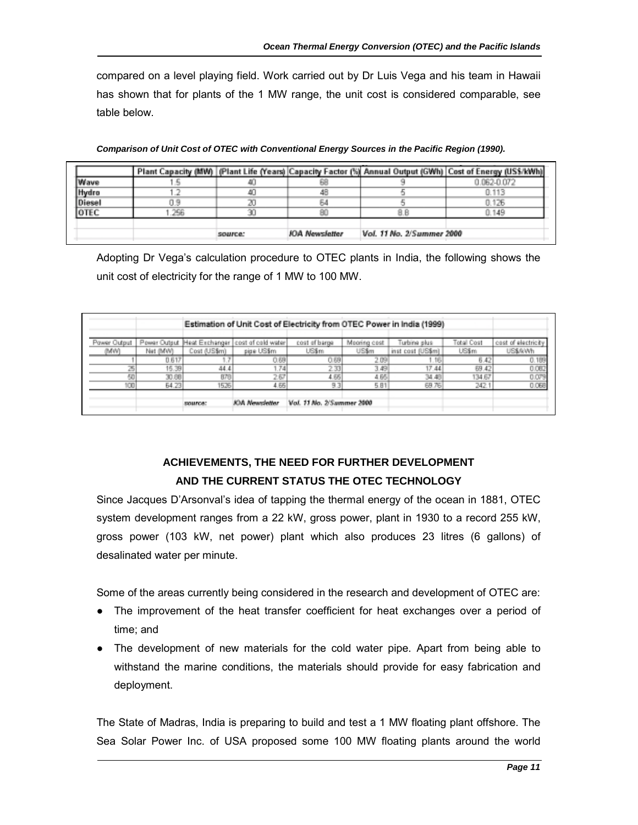compared on a level playing field. Work carried out by Dr Luis Vega and his team in Hawaii has shown that for plants of the 1 MW range, the unit cost is considered comparable, see table below.

|        |     |         |                       |                           | Plant Capacity (MW)   (Plant Life (Years)   Capacity Factor (%)  Annual Output (GWh)   Cost of Energy (US\$/kWh) |
|--------|-----|---------|-----------------------|---------------------------|------------------------------------------------------------------------------------------------------------------|
| Wave   |     |         |                       |                           | 0.062-0.072                                                                                                      |
| Hydro  |     |         |                       |                           | 0.113                                                                                                            |
| Diesel |     |         |                       |                           | 0.126                                                                                                            |
| OTEC   | 256 |         |                       |                           | 0.149                                                                                                            |
|        |     | source: | <b>JOA Newsfatter</b> | Vol. 11 No. 2/Summer 2000 |                                                                                                                  |

*Comparison of Unit Cost of OTEC with Conventional Energy Sources in the Pacific Region (1990).* 

Adopting Dr Vega's calculation procedure to OTEC plants in India, the following shows the unit cost of electricity for the range of 1 MW to 100 MW.

|              |                   |                |                                   |                           |               | Estimation of Unit Cost of Electricity from OTEC Power in India (1999) |                   |                          |
|--------------|-------------------|----------------|-----------------------------------|---------------------------|---------------|------------------------------------------------------------------------|-------------------|--------------------------|
| Pawer Output | Power Output      |                | Heat Exchanger cost of cold water | cost of barge             | Mooring cost  | Turbine plus:                                                          | <b>Total Cost</b> | cost of electricity      |
| (MW)         | Net (MW)<br>0.617 | Cost (US\$m)   | pipe US\$m<br>0.69                | US\$m<br>0.69             | US\$m<br>2.09 | inst cost (US\$m)<br>16                                                | US\$m<br>6.42     | <b>US\$/kWh</b><br>0.109 |
|              | 15.39             | 44.4           | 74                                | 2.33                      | 3.49          | 17.44                                                                  | 69.42             | 0.082                    |
|              | 30.88             | 878            | 2.67                              | 4.65                      | 4.65          | 34.48                                                                  | 134.67            | 0.079                    |
| 100          | 54.23             | 15,26          | 4.66                              | 9.3                       | 5.81          | 69.76                                                                  | 242.1             | 0.068                    |
|              |                   | <b>SOURCE:</b> | <b>KM Newsletter</b>              | Vol. 11 No. 2/Summer 2000 |               |                                                                        |                   |                          |

# **ACHIEVEMENTS, THE NEED FOR FURTHER DEVELOPMENT AND THE CURRENT STATUS THE OTEC TECHNOLOGY**

Since Jacques D'Arsonval's idea of tapping the thermal energy of the ocean in 1881, OTEC system development ranges from a 22 kW, gross power, plant in 1930 to a record 255 kW, gross power (103 kW, net power) plant which also produces 23 litres (6 gallons) of desalinated water per minute.

Some of the areas currently being considered in the research and development of OTEC are:

- The improvement of the heat transfer coefficient for heat exchanges over a period of time; and
- The development of new materials for the cold water pipe. Apart from being able to withstand the marine conditions, the materials should provide for easy fabrication and deployment.

The State of Madras, India is preparing to build and test a 1 MW floating plant offshore. The Sea Solar Power Inc. of USA proposed some 100 MW floating plants around the world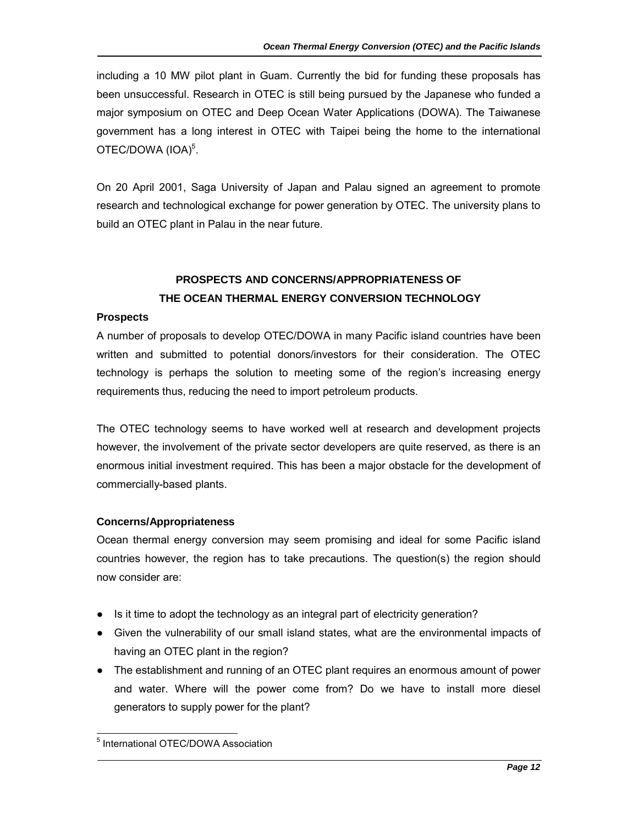including a 10 MW pilot plant in Guam. Currently the bid for funding these proposals has been unsuccessful. Research in OTEC is still being pursued by the Japanese who funded a major symposium on OTEC and Deep Ocean Water Applications (DOWA). The Taiwanese government has a long interest in OTEC with Taipei being the home to the international OTEC/DOWA (IOA)<sup>5</sup>.

On 20 April 2001, Saga University of Japan and Palau signed an agreement to promote research and technological exchange for power generation by OTEC. The university plans to build an OTEC plant in Palau in the near future.

# **PROSPECTS AND CONCERNS/APPROPRIATENESS OF THE OCEAN THERMAL ENERGY CONVERSION TECHNOLOGY**

### **Prospects**

A number of proposals to develop OTEC/DOWA in many Pacific island countries have been written and submitted to potential donors/investors for their consideration. The OTEC technology is perhaps the solution to meeting some of the region's increasing energy requirements thus, reducing the need to import petroleum products.

The OTEC technology seems to have worked well at research and development projects however, the involvement of the private sector developers are quite reserved, as there is an enormous initial investment required. This has been a major obstacle for the development of commercially-based plants.

# **Concerns/Appropriateness**

Ocean thermal energy conversion may seem promising and ideal for some Pacific island countries however, the region has to take precautions. The question(s) the region should now consider are:

- Is it time to adopt the technology as an integral part of electricity generation?
- Given the vulnerability of our small island states, what are the environmental impacts of having an OTEC plant in the region?
- The establishment and running of an OTEC plant requires an enormous amount of power and water. Where will the power come from? Do we have to install more diesel generators to supply power for the plant?

l 5 International OTEC/DOWA Association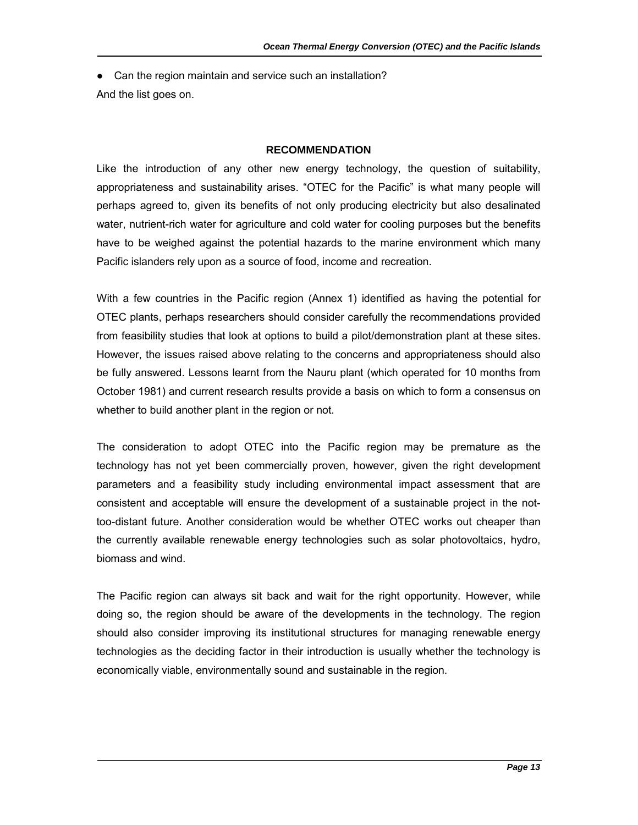• Can the region maintain and service such an installation? And the list goes on.

#### **RECOMMENDATION**

Like the introduction of any other new energy technology, the question of suitability, appropriateness and sustainability arises. "OTEC for the Pacific" is what many people will perhaps agreed to, given its benefits of not only producing electricity but also desalinated water, nutrient-rich water for agriculture and cold water for cooling purposes but the benefits have to be weighed against the potential hazards to the marine environment which many Pacific islanders rely upon as a source of food, income and recreation.

With a few countries in the Pacific region (Annex 1) identified as having the potential for OTEC plants, perhaps researchers should consider carefully the recommendations provided from feasibility studies that look at options to build a pilot/demonstration plant at these sites. However, the issues raised above relating to the concerns and appropriateness should also be fully answered. Lessons learnt from the Nauru plant (which operated for 10 months from October 1981) and current research results provide a basis on which to form a consensus on whether to build another plant in the region or not.

The consideration to adopt OTEC into the Pacific region may be premature as the technology has not yet been commercially proven, however, given the right development parameters and a feasibility study including environmental impact assessment that are consistent and acceptable will ensure the development of a sustainable project in the nottoo-distant future. Another consideration would be whether OTEC works out cheaper than the currently available renewable energy technologies such as solar photovoltaics, hydro, biomass and wind.

The Pacific region can always sit back and wait for the right opportunity. However, while doing so, the region should be aware of the developments in the technology. The region should also consider improving its institutional structures for managing renewable energy technologies as the deciding factor in their introduction is usually whether the technology is economically viable, environmentally sound and sustainable in the region.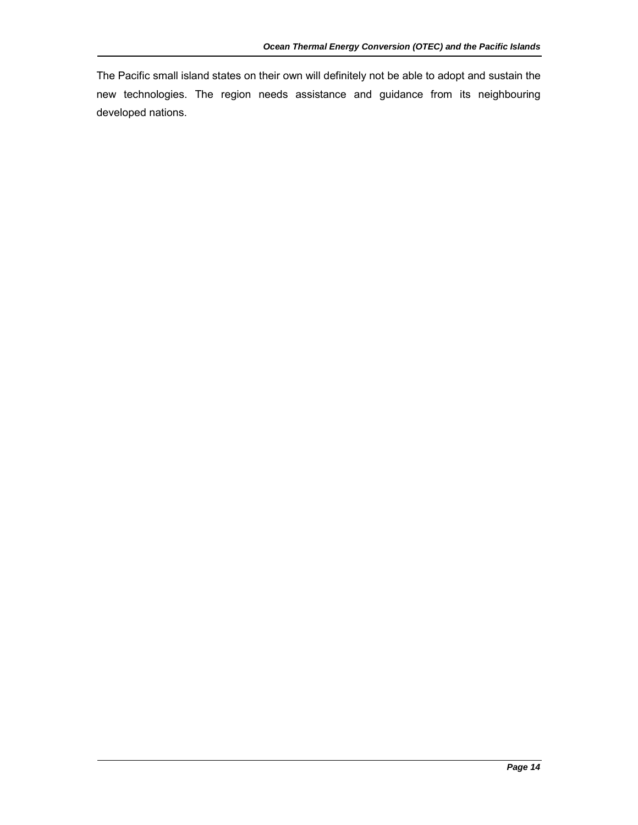The Pacific small island states on their own will definitely not be able to adopt and sustain the new technologies. The region needs assistance and guidance from its neighbouring developed nations.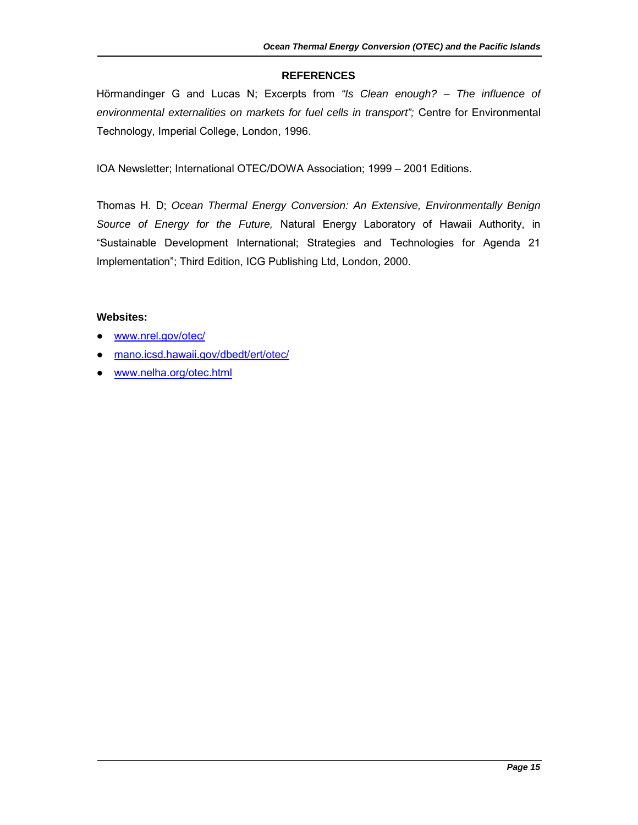## **REFERENCES**

Hörmandinger G and Lucas N; Excerpts from *"Is Clean enough? – The influence of environmental externalities on markets for fuel cells in transport";* Centre for Environmental Technology, Imperial College, London, 1996.

IOA Newsletter; International OTEC/DOWA Association; 1999 – 2001 Editions.

Thomas H. D; *Ocean Thermal Energy Conversion: An Extensive, Environmentally Benign Source of Energy for the Future,* Natural Energy Laboratory of Hawaii Authority, in "Sustainable Development International; Strategies and Technologies for Agenda 21 Implementation"; Third Edition, ICG Publishing Ltd, London, 2000.

### **Websites:**

- www.nrel.gov/otec/
- mano.icsd.hawaii.gov/dbedt/ert/otec/
- www.nelha.org/otec.html